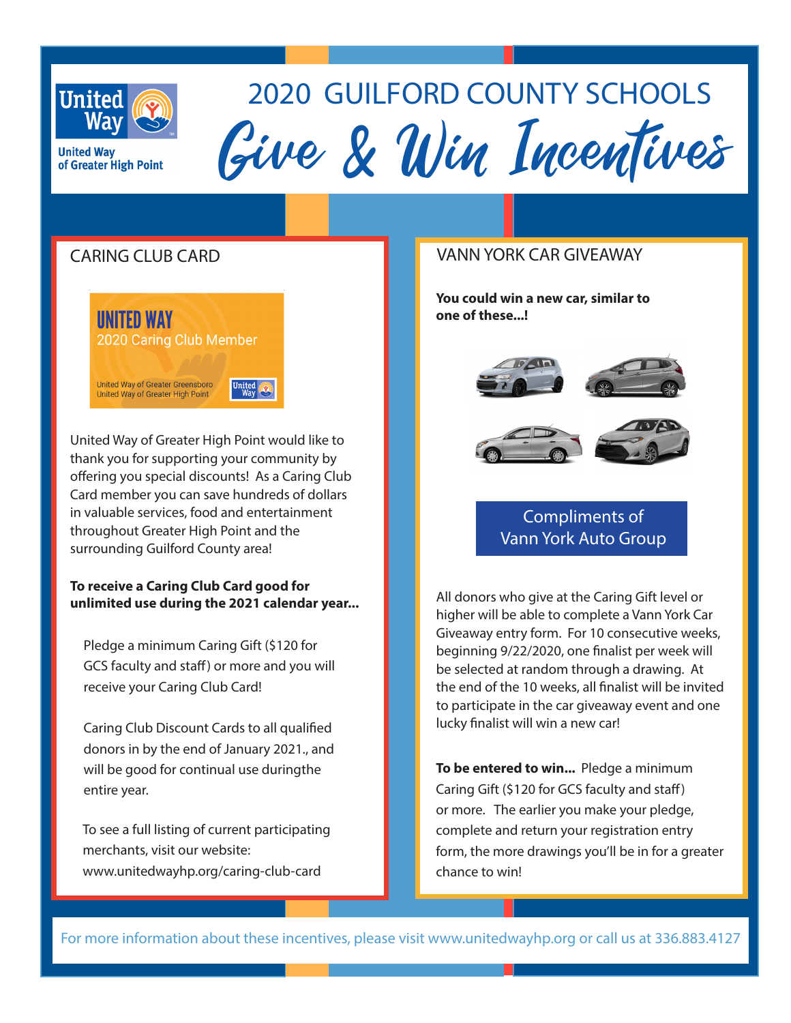

of Greater High Point

**United Wav** 

# Give&& Win Incentives 2020 GUILFORD COUNTY SCHOOLS

## CARING CLUB CARD



United Way of Greater High Point would like to thank you for supporting your community by offering you special discounts! As a Caring Club Card member you can save hundreds of dollars in valuable services, food and entertainment throughout Greater High Point and the surrounding Guilford County area!

#### **To receive a Caring Club Card good for unlimited use during the 2021 calendar year...**

Pledge a minimum Caring Gift (\$120 for GCS faculty and staff) or more and you will receive your Caring Club Card!

Caring Club Discount Cards to all qualified donors in by the end of January 2021., and will be good for continual use duringthe entire year.

To see a full listing of current participating merchants, visit our website: www.unitedwayhp.org/caring-club-card

#### VANN YORK CAR GIVEAWAY

**You could win a new car, similar to one of these...!** 





## Compliments of Vann York Auto Group

All donors who give at the Caring Gift level or higher will be able to complete a Vann York Car Giveaway entry form. For 10 consecutive weeks, beginning 9/22/2020, one finalist per week will be selected at random through a drawing. At the end of the 10 weeks, all finalist will be invited to participate in the car giveaway event and one lucky finalist will win a new car!

**To be entered to win...** Pledge a minimum Caring Gift (\$120 for GCS faculty and staff) or more. The earlier you make your pledge, complete and return your registration entry form, the more drawings you'll be in for a greater chance to win!

For more information about these incentives, please visit www.unitedwayhp.org or call us at 336.883.4127